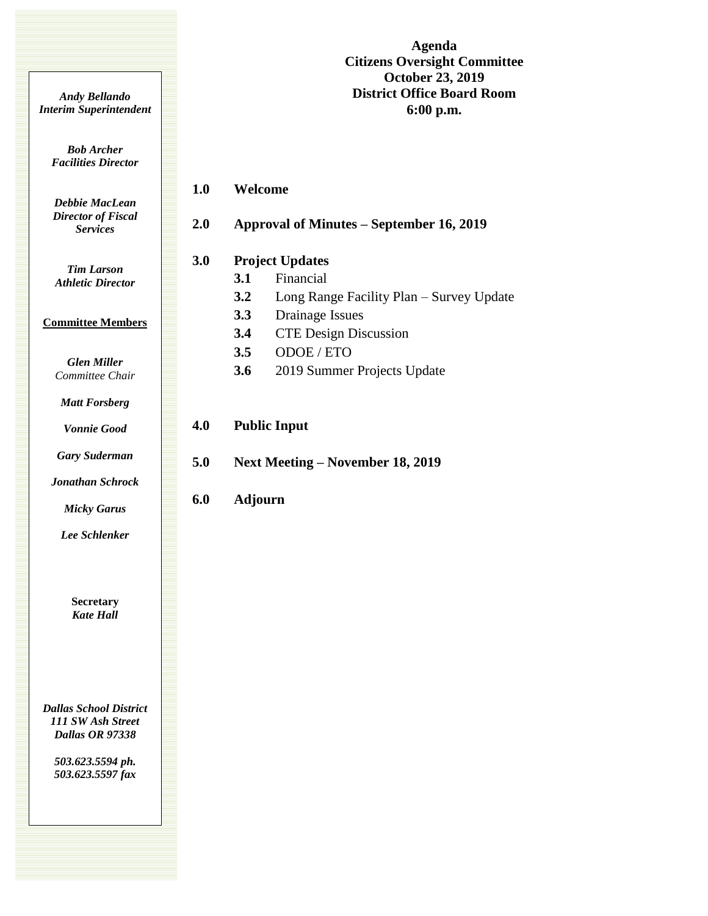**Agenda Citizens Oversight Committee October 23, 2019 District Office Board Room 6:00 p.m.**

*Andy Bellando Interim Superintendent*

> *Bob Archer Facilities Director*

*Debbie MacLean Director of Fiscal Services*

*Tim Larson Athletic Director*

## **Committee Members**

*Glen Miller Committee Chair*

*Matt Forsberg*

*Vonnie Good*

*Gary Suderman*

*Jonathan Schrock*

*Micky Garus*

*Lee Schlenker*

**Secretary** *Kate Hall*

*Dallas School District 111 SW Ash Street Dallas OR 97338*

> *503.623.5594 ph. 503.623.5597 fax*

| 3.0        |                | <b>Project Updates</b>                                         |
|------------|----------------|----------------------------------------------------------------|
|            | 3.1            | Financial                                                      |
|            | 3.2            | Long Range Facility Plan – Survey Update                       |
|            | 3.3            | Drainage Issues                                                |
|            | 3.4            | <b>CTE</b> Design Discussion                                   |
|            | 3.5            | ODOE / ETO                                                     |
|            | 3.6            | 2019 Summer Projects Update                                    |
| 4.0<br>5.0 |                | <b>Public Input</b><br><b>Next Meeting – November 18, 2019</b> |
| 6.0        | <b>Adjourn</b> |                                                                |
|            |                |                                                                |

**2.0 Approval of Minutes – September 16, 2019**

**1.0 Welcome**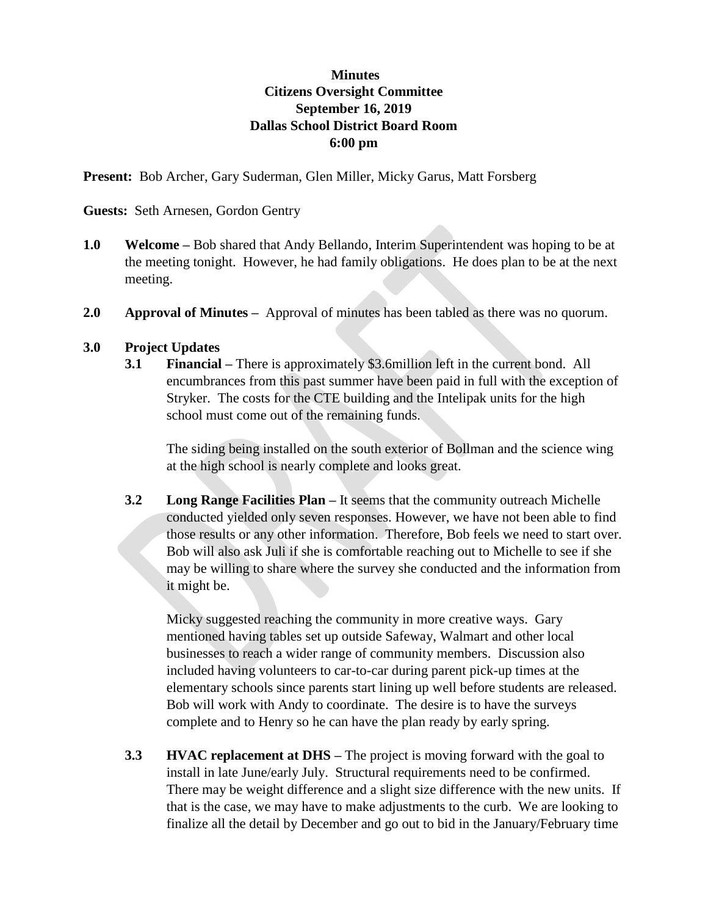## **Minutes Citizens Oversight Committee September 16, 2019 Dallas School District Board Room 6:00 pm**

**Present:** Bob Archer, Gary Suderman, Glen Miller, Micky Garus, Matt Forsberg

**Guests:** Seth Arnesen, Gordon Gentry

- **1.0 Welcome** Bob shared that Andy Bellando, Interim Superintendent was hoping to be at the meeting tonight. However, he had family obligations. He does plan to be at the next meeting.
- **2.0 Approval of Minutes** Approval of minutes has been tabled as there was no quorum.

## **3.0 Project Updates**

**3.1 Financial –** There is approximately \$3.6million left in the current bond. All encumbrances from this past summer have been paid in full with the exception of Stryker. The costs for the CTE building and the Intelipak units for the high school must come out of the remaining funds.

The siding being installed on the south exterior of Bollman and the science wing at the high school is nearly complete and looks great.

**3.2 Long Range Facilities Plan –** It seems that the community outreach Michelle conducted yielded only seven responses. However, we have not been able to find those results or any other information. Therefore, Bob feels we need to start over. Bob will also ask Juli if she is comfortable reaching out to Michelle to see if she may be willing to share where the survey she conducted and the information from it might be.

Micky suggested reaching the community in more creative ways. Gary mentioned having tables set up outside Safeway, Walmart and other local businesses to reach a wider range of community members. Discussion also included having volunteers to car-to-car during parent pick-up times at the elementary schools since parents start lining up well before students are released. Bob will work with Andy to coordinate. The desire is to have the surveys complete and to Henry so he can have the plan ready by early spring.

**3.3 HVAC replacement at DHS –** The project is moving forward with the goal to install in late June/early July. Structural requirements need to be confirmed. There may be weight difference and a slight size difference with the new units. If that is the case, we may have to make adjustments to the curb. We are looking to finalize all the detail by December and go out to bid in the January/February time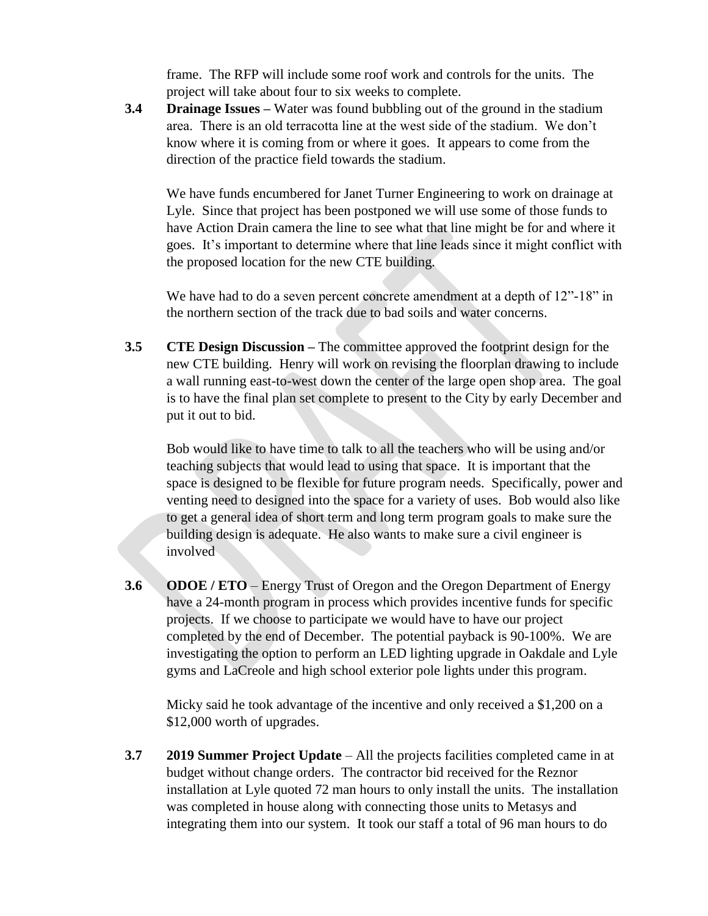frame. The RFP will include some roof work and controls for the units. The project will take about four to six weeks to complete.

**3.4 Drainage Issues –** Water was found bubbling out of the ground in the stadium area. There is an old terracotta line at the west side of the stadium. We don't know where it is coming from or where it goes. It appears to come from the direction of the practice field towards the stadium.

We have funds encumbered for Janet Turner Engineering to work on drainage at Lyle. Since that project has been postponed we will use some of those funds to have Action Drain camera the line to see what that line might be for and where it goes. It's important to determine where that line leads since it might conflict with the proposed location for the new CTE building.

We have had to do a seven percent concrete amendment at a depth of  $12"$ -18" in the northern section of the track due to bad soils and water concerns.

**3.5 CTE Design Discussion –** The committee approved the footprint design for the new CTE building. Henry will work on revising the floorplan drawing to include a wall running east-to-west down the center of the large open shop area. The goal is to have the final plan set complete to present to the City by early December and put it out to bid.

Bob would like to have time to talk to all the teachers who will be using and/or teaching subjects that would lead to using that space. It is important that the space is designed to be flexible for future program needs. Specifically, power and venting need to designed into the space for a variety of uses. Bob would also like to get a general idea of short term and long term program goals to make sure the building design is adequate. He also wants to make sure a civil engineer is involved

**3.6 ODOE / ETO** – Energy Trust of Oregon and the Oregon Department of Energy have a 24-month program in process which provides incentive funds for specific projects. If we choose to participate we would have to have our project completed by the end of December. The potential payback is 90-100%. We are investigating the option to perform an LED lighting upgrade in Oakdale and Lyle gyms and LaCreole and high school exterior pole lights under this program.

Micky said he took advantage of the incentive and only received a \$1,200 on a \$12,000 worth of upgrades.

**3.7 2019 Summer Project Update** – All the projects facilities completed came in at budget without change orders. The contractor bid received for the Reznor installation at Lyle quoted 72 man hours to only install the units. The installation was completed in house along with connecting those units to Metasys and integrating them into our system. It took our staff a total of 96 man hours to do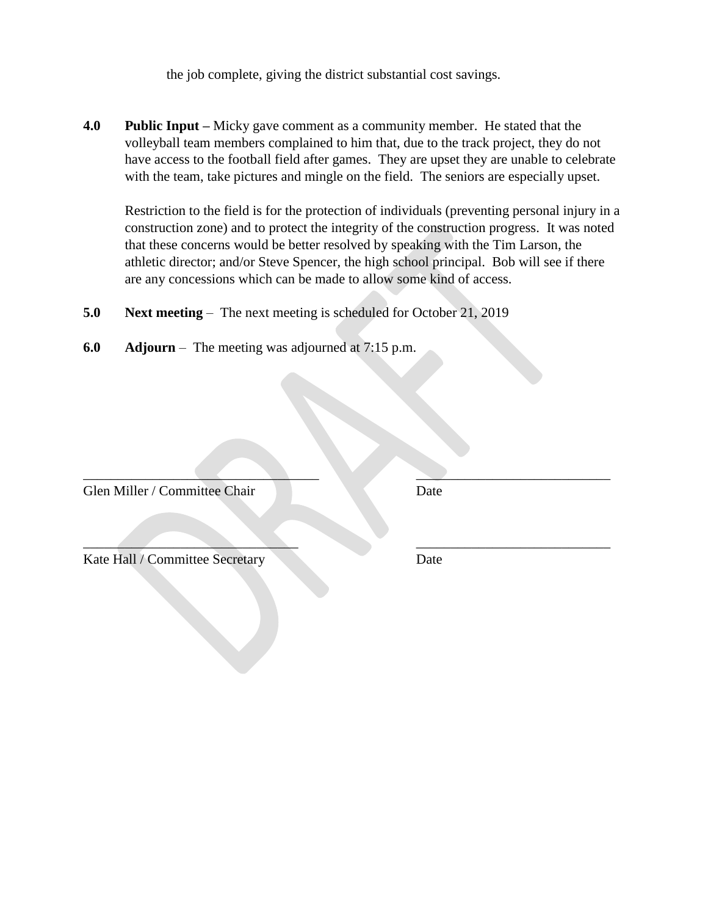the job complete, giving the district substantial cost savings.

**4.0 Public Input –** Micky gave comment as a community member. He stated that the volleyball team members complained to him that, due to the track project, they do not have access to the football field after games. They are upset they are unable to celebrate with the team, take pictures and mingle on the field. The seniors are especially upset.

 $\blacksquare$ 

 $\mathcal{L}=\{x\in\mathcal{L}: x\in\mathcal{L}\mid x\in\mathcal{L}\}$  , where  $\mathcal{L}=\{x\in\mathcal{L}: x\in\mathcal{L}\}$  , where  $\mathcal{L}=\{x\in\mathcal{L}: x\in\mathcal{L}\}$ 

Restriction to the field is for the protection of individuals (preventing personal injury in a construction zone) and to protect the integrity of the construction progress. It was noted that these concerns would be better resolved by speaking with the Tim Larson, the athletic director; and/or Steve Spencer, the high school principal. Bob will see if there are any concessions which can be made to allow some kind of access.

- **5.0 Next meeting** The next meeting is scheduled for October 21, 2019
- **6.0 Adjourn**  The meeting was adjourned at 7:15 p.m.

Glen Miller / Committee Chair Date

Kate Hall / Committee Secretary Date